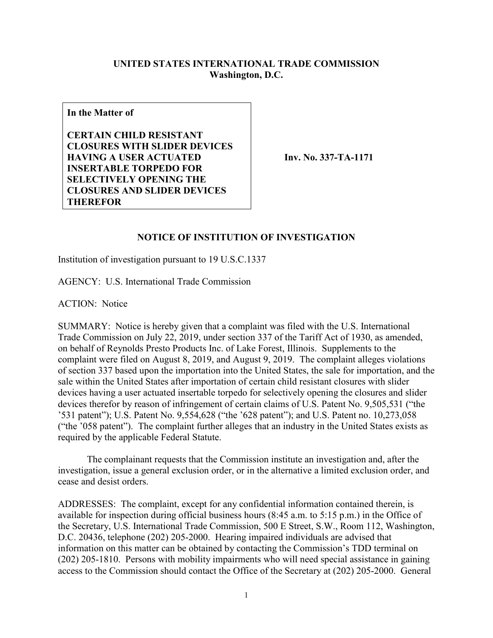## **UNITED STATES INTERNATIONAL TRADE COMMISSION Washington, D.C.**

**In the Matter of**

**CERTAIN CHILD RESISTANT CLOSURES WITH SLIDER DEVICES HAVING A USER ACTUATED INSERTABLE TORPEDO FOR SELECTIVELY OPENING THE CLOSURES AND SLIDER DEVICES THEREFOR**

**Inv. No. 337-TA-1171**

## **NOTICE OF INSTITUTION OF INVESTIGATION**

Institution of investigation pursuant to 19 U.S.C.1337

AGENCY: U.S. International Trade Commission

ACTION: Notice

SUMMARY: Notice is hereby given that a complaint was filed with the U.S. International Trade Commission on July 22, 2019, under section 337 of the Tariff Act of 1930, as amended, on behalf of Reynolds Presto Products Inc. of Lake Forest, Illinois. Supplements to the complaint were filed on August 8, 2019, and August 9, 2019. The complaint alleges violations of section 337 based upon the importation into the United States, the sale for importation, and the sale within the United States after importation of certain child resistant closures with slider devices having a user actuated insertable torpedo for selectively opening the closures and slider devices therefor by reason of infringement of certain claims of U.S. Patent No. 9,505,531 ("the '531 patent"); U.S. Patent No. 9,554,628 ("the '628 patent"); and U.S. Patent no. 10,273,058 ("the '058 patent"). The complaint further alleges that an industry in the United States exists as required by the applicable Federal Statute.

The complainant requests that the Commission institute an investigation and, after the investigation, issue a general exclusion order, or in the alternative a limited exclusion order, and cease and desist orders.

ADDRESSES: The complaint, except for any confidential information contained therein, is available for inspection during official business hours (8:45 a.m. to 5:15 p.m.) in the Office of the Secretary, U.S. International Trade Commission, 500 E Street, S.W., Room 112, Washington, D.C. 20436, telephone (202) 205-2000. Hearing impaired individuals are advised that information on this matter can be obtained by contacting the Commission's TDD terminal on (202) 205-1810. Persons with mobility impairments who will need special assistance in gaining access to the Commission should contact the Office of the Secretary at (202) 205-2000. General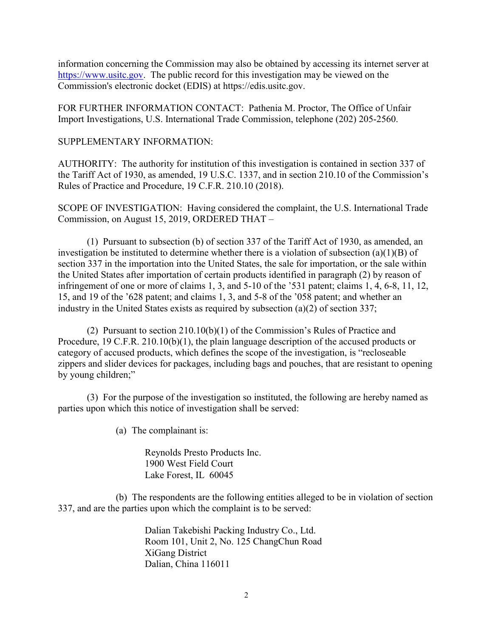information concerning the Commission may also be obtained by accessing its internet server at [https://www.usitc.gov.](https://www.usitc.gov/) The public record for this investigation may be viewed on the Commission's electronic docket (EDIS) at https://edis.usitc.gov.

FOR FURTHER INFORMATION CONTACT: Pathenia M. Proctor, The Office of Unfair Import Investigations, U.S. International Trade Commission, telephone (202) 205-2560.

## SUPPLEMENTARY INFORMATION:

AUTHORITY: The authority for institution of this investigation is contained in section 337 of the Tariff Act of 1930, as amended, 19 U.S.C. 1337, and in section 210.10 of the Commission's Rules of Practice and Procedure, 19 C.F.R. 210.10 (2018).

SCOPE OF INVESTIGATION: Having considered the complaint, the U.S. International Trade Commission, on August 15, 2019, ORDERED THAT –

(1) Pursuant to subsection (b) of section 337 of the Tariff Act of 1930, as amended, an investigation be instituted to determine whether there is a violation of subsection (a)(1)(B) of section 337 in the importation into the United States, the sale for importation, or the sale within the United States after importation of certain products identified in paragraph (2) by reason of infringement of one or more of claims 1, 3, and 5-10 of the '531 patent; claims 1, 4, 6-8, 11, 12, 15, and 19 of the '628 patent; and claims 1, 3, and 5-8 of the '058 patent; and whether an industry in the United States exists as required by subsection (a)(2) of section 337;

(2) Pursuant to section 210.10(b)(1) of the Commission's Rules of Practice and Procedure, 19 C.F.R. 210.10(b)(1), the plain language description of the accused products or category of accused products, which defines the scope of the investigation, is "recloseable zippers and slider devices for packages, including bags and pouches, that are resistant to opening by young children;"

(3) For the purpose of the investigation so instituted, the following are hereby named as parties upon which this notice of investigation shall be served:

(a) The complainant is:

Reynolds Presto Products Inc. 1900 West Field Court Lake Forest, IL 60045

(b) The respondents are the following entities alleged to be in violation of section 337, and are the parties upon which the complaint is to be served:

> Dalian Takebishi Packing Industry Co., Ltd. Room 101, Unit 2, No. 125 ChangChun Road XiGang District Dalian, China 116011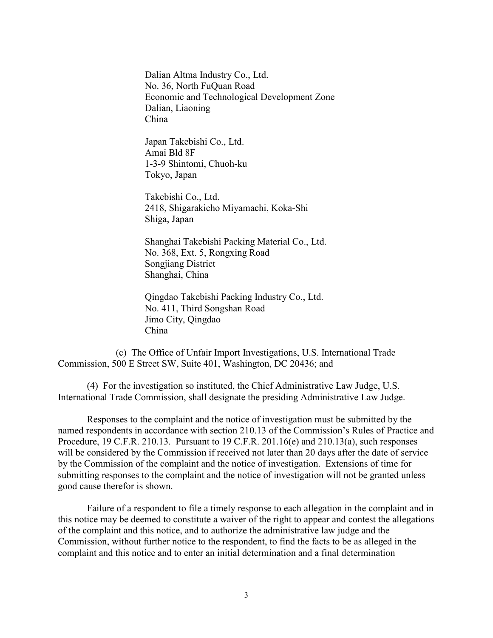Dalian Altma Industry Co., Ltd. No. 36, North FuQuan Road Economic and Technological Development Zone Dalian, Liaoning China

Japan Takebishi Co., Ltd. Amai Bld 8F 1-3-9 Shintomi, Chuoh-ku Tokyo, Japan

Takebishi Co., Ltd. 2418, Shigarakicho Miyamachi, Koka-Shi Shiga, Japan

Shanghai Takebishi Packing Material Co., Ltd. No. 368, Ext. 5, Rongxing Road Songjiang District Shanghai, China

Qingdao Takebishi Packing Industry Co., Ltd. No. 411, Third Songshan Road Jimo City, Qingdao China

(c) The Office of Unfair Import Investigations, U.S. International Trade Commission, 500 E Street SW, Suite 401, Washington, DC 20436; and

(4) For the investigation so instituted, the Chief Administrative Law Judge, U.S. International Trade Commission, shall designate the presiding Administrative Law Judge.

Responses to the complaint and the notice of investigation must be submitted by the named respondents in accordance with section 210.13 of the Commission's Rules of Practice and Procedure, 19 C.F.R. 210.13. Pursuant to 19 C.F.R. 201.16(e) and 210.13(a), such responses will be considered by the Commission if received not later than 20 days after the date of service by the Commission of the complaint and the notice of investigation. Extensions of time for submitting responses to the complaint and the notice of investigation will not be granted unless good cause therefor is shown.

Failure of a respondent to file a timely response to each allegation in the complaint and in this notice may be deemed to constitute a waiver of the right to appear and contest the allegations of the complaint and this notice, and to authorize the administrative law judge and the Commission, without further notice to the respondent, to find the facts to be as alleged in the complaint and this notice and to enter an initial determination and a final determination